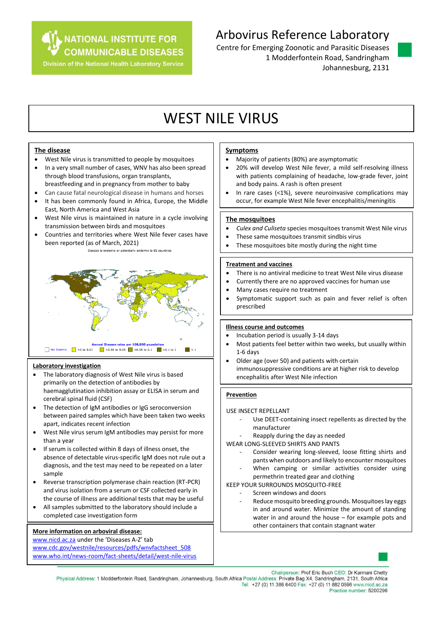**NATIONAL INSTITUTE FOR** 

**COMMUNICABLE DISEASES Division of the National Health Laboratory Service** 

## Arbovirus Reference Laboratory

Centre for Emerging Zoonotic and Parasitic Diseases 1 Modderfontein Road, Sandringham Johannesburg, 2131



# WEST NILE VIRUS

#### **The disease**

- West Nile virus is transmitted to people by mosquitoes
- In a very small number of cases, WNV has also been spread through blood transfusions, organ transplants,
- breastfeeding and in pregnancy from mother to baby
- Can cause fatal neurological disease in humans and horses It has been commonly found in Africa, Europe, the Middle East, North America and West Asia
- West Nile virus is maintained in nature in a cycle involving transmission between birds and mosquitoes
- Countries and territories where West Nile fever cases have been reported (as of March, 2021)





#### **Laboratory investigation**

- The laboratory diagnosis of West Nile virus is based primarily on the detection of antibodies by haemagglutination inhibition assay or ELISA in serum and cerebral spinal fluid (CSF)
- The detection of IgM antibodies or IgG seroconversion between paired samples which have been taken two weeks apart, indicates recent infection
- West Nile virus serum IgM antibodies may persist for more than a year
- If serum is collected within 8 days of illness onset, the absence of detectable virus-specific IgM does not rule out a diagnosis, and the test may need to be repeated on a later sample
- Reverse transcription polymerase chain reaction (RT-PCR) and virus isolation from a serum or CSF collected early in the course of illness are additional tests that may be useful
- All samples submitted to the laboratory should include a completed case investigation form

#### **More information on arboviral disease:**

[www.nicd.ac.za](http://www.nicd.ac.za/) under the 'Diseases A-Z' tab [www.cdc.gov/westnile/resources/pdfs/wnvfactsheet\\_508](http://www.cdc.gov/westnile/resources/pdfs/wnvfactsheet_508) [www.who.int/news-room/fact-sheets/detail/west-nile-virus](http://www.who.int/news-room/fact-sheets/detail/west-nile-virus)

#### **Symptoms**

- Majority of patients (80%) are asymptomatic
- 20% will develop West Nile fever, a mild self-resolving illness with patients complaining of headache, low-grade fever, joint and body pains. A rash is often present
- In rare cases (<1%), severe neuroinvasive complications may occur, for example West Nile fever encephalitis/meningitis

#### **The mosquitoes**

- *Culex and Culiseta* species mosquitoes transmit West Nile virus
- These same mosquitoes transmit sindbis virus
- These mosquitoes bite mostly during the night time

#### **Treatment and vaccines**

- There is no antiviral medicine to treat West Nile virus disease
- Currently there are no approved vaccines for human use
- Many cases require no treatment
- Symptomatic support such as pain and fever relief is often prescribed

### **Illness course and outcomes**

- Incubation period is usually 3-14 days
- Most patients feel better within two weeks, but usually within 1-6 days
- Older age (over 50) and patients with certain immunosuppressive conditions are at higher risk to develop encephalitis after West Nile infection

#### **Prevention**

### USE INSECT REPELLANT

- Use DEET-containing insect repellents as directed by the manufacturer
- Reapply during the day as needed

WEAR LONG-SLEEVED SHIRTS AND PANTS

- Consider wearing long-sleeved, loose fitting shirts and pants when outdoors and likely to encounter mosquitoes
- When camping or similar activities consider using permethrin treated gear and clothing

### KEEP YOUR SURROUNDS MOSQUITO-FREE

- Screen windows and doors
	- Reduce mosquito breeding grounds. Mosquitoes lay eggs in and around water. Minimize the amount of standing water in and around the house – for example pots and other containers that contain stagnant water



Chairperson: Prof Eric Buch CEO: Dr Karmani Chetty